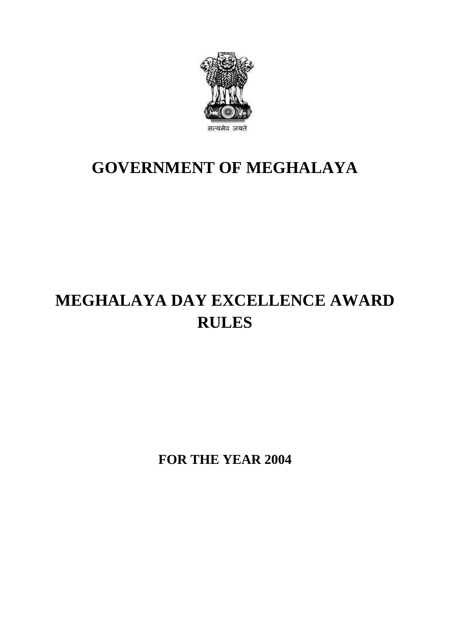

### **GOVERNMENT OF MEGHALAYA**

## **MEGHALAYA DAY EXCELLENCE AWARD RULES**

**FOR THE YEAR 2004**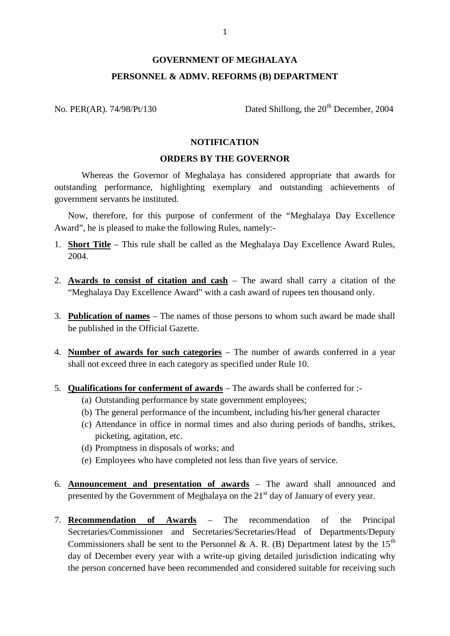# <sup>1</sup><br>GOVERNMENT OF MEGHALAYA<br>REL & ADMV. REFORMS (B) DEPARTMENT **PERSONNEL & ADMV. REFORMS (B) DEPARTMENT**

No. PER(AR). 74/98/Pt/130 Dated Shillong, the 20<sup>th</sup> December, 2004

### **NOTIFICATION**

#### **ORDERS BY THE GOVERNOR**

NOTIFICATION<br>
ORDERS BY THE GOVERNOR<br>
Whereas the Governor of Meghalaya has considered appropriate that awards for<br>
outstanding performance, highlighting exemplary and outstanding achievements of government servants be instituted.

Now, therefore, for this purpose of conferment of the "Meghalaya Day Excellence Award", he is pleased to make the following Rules, namely:-

- 1. **Short Title** This rule shall be called as the Meghalaya Day Excellence Award Rules, 2004.
- 2. **Awards to consist of citation and cash** The award shall carry a citation of the "Meghalaya Day Excellence Award" with a cash award of rupees ten thousand only.
- 3. **Publication of names** The names of those persons to whom such award be made shall be published in the Official Gazette.
- 4. **Number of awards for such categories** The number of awards conferred in a year shall not exceed three in each category as specified under Rule 10. mber of awards for such categories – The number of awards of the unit of action of the exceed three in each category as specified under Rule 10.<br>
alifications for conferment of awards – The awards shall be conference (a) O
- 5. **Qualifications for conferment of awards** The awards shall be conferred for :-
	-
	- (b) The general performance of the incumbent, including his/her general character
- (b) The general performance of the incumbent, including his/her general character<br>(a) Outstanding performance by state government employees;<br>(b) The general performance of the incumbent, including his/her general character **alifications for conferment of awards** – The awards shall be conferred for :-<br>(a) Outstanding performance by state government employees;<br>(b) The general performance of the incumbent, including his/her general character<br>(c picketing, agitation, etc. (a) Outstanding performance by state government employees;<br>
(b) The general performance of the incumbent, including his/her general<br>
(c) Attendance in office in normal times and also during periods of l<br>
picketing, agitati
	-
	-
- 6. **Announcement and presentation of awards** The award shall announced and presented by the Government of Meghalaya on the  $21<sup>st</sup>$  day of January of every year.
- 7. **Recommendation of Awards** The recommendation of the Principal Secretaries/Commissioner and Secretaries/Secretaries/Head of Departments/Deputy Commissioners shall be sent to the Personnel & A. R. (B) Department latest by the  $15<sup>th</sup>$ **Recommendation of Awards** – The recommendation of the Principal Secretaries/Commissioner and Secretaries/Secretaries/Head of Departments/Deputy Commissioners shall be sent to the Personnel & A. R. (B) Department latest b the person concerned have been recommended and considered suitable for receiving such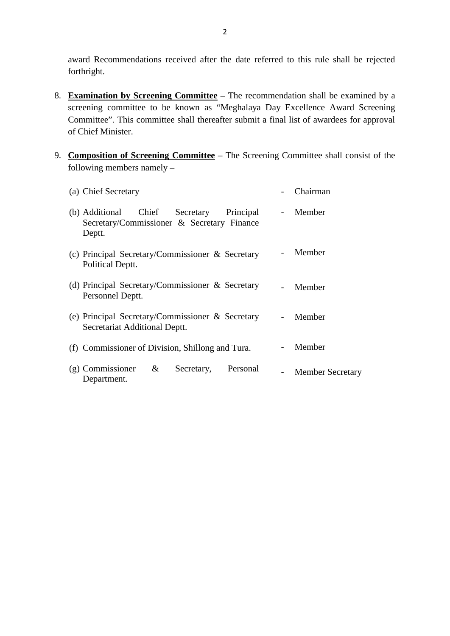award Recommendations received after the date referred to this rule shall be rejected forthright.

- award Recommendations received after the date referred to this rule shall be rejected<br>forthright.<br>8. **Examination by Screening Committee** The recommendation shall be examined by a<br>screening committee to be known as "Megh Committee". This committee shall thereafter submit a final list of awardees for approval of Chief Minister. Screening committee to be known as "Meghalaya Day Excellence Award Screening<br>Committee". This committee shall thereafter submit a final list of awardees for approval<br>of Chief Minister.<br>9. **Composition of Screening Committe**
- following members namely –

| <b>Composition of Screening Committee</b> – The Screening Committee shall consist of the<br>following members namely $-$ |                          |                         |
|--------------------------------------------------------------------------------------------------------------------------|--------------------------|-------------------------|
| (a) Chief Secretary                                                                                                      |                          | Chairman                |
| Chief<br>(b) Additional<br>Secretary<br>Principal<br>Secretary/Commissioner & Secretary Finance<br>Deptt.                | $\sim$ 100 $\mu$         | Member                  |
| (c) Principal Secretary/Commissioner $\&$ Secretary<br>Political Deptt.                                                  | $\overline{\phantom{0}}$ | Member                  |
| (d) Principal Secretary/Commissioner $\&$ Secretary<br>Personnel Deptt.                                                  |                          | Member                  |
| (e) Principal Secretary/Commissioner $\&$ Secretary<br>Secretariat Additional Deptt.                                     | $\blacksquare$           | Member                  |
| (f) Commissioner of Division, Shillong and Tura.                                                                         |                          | Member                  |
| (g) Commissioner &<br>Secretary, Personal<br>Department.                                                                 |                          | <b>Member Secretary</b> |